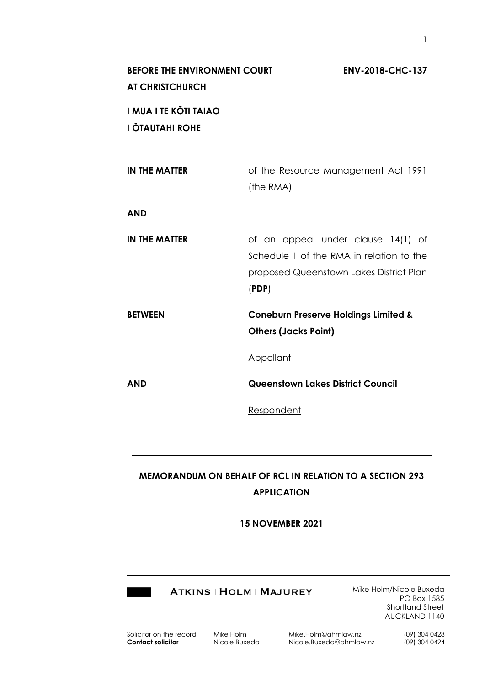| <b>BEFORE THE ENVIRONMENT COURT</b><br><b>AT CHRISTCHURCH</b> | <b>ENV-2018-CHC-137</b>                                                                                                            |
|---------------------------------------------------------------|------------------------------------------------------------------------------------------------------------------------------------|
| I MUA I TE KŌTI TAIAO<br>I ŌTAUTAHI ROHE                      |                                                                                                                                    |
| <b>IN THE MATTER</b>                                          | of the Resource Management Act 1991<br>(the RMA)                                                                                   |
| <b>AND</b>                                                    |                                                                                                                                    |
| <b>IN THE MATTER</b>                                          | of an appeal under clause 14(1) of<br>Schedule 1 of the RMA in relation to the<br>proposed Queenstown Lakes District Plan<br>(PDF) |
| <b>BETWEEN</b>                                                | <b>Coneburn Preserve Holdings Limited &amp;</b><br><b>Others (Jacks Point)</b>                                                     |
|                                                               | <b>Appellant</b>                                                                                                                   |
| <b>AND</b>                                                    | <b>Queenstown Lakes District Council</b>                                                                                           |
|                                                               | Respondent                                                                                                                         |

# **MEMORANDUM ON BEHALF OF RCL IN RELATION TO A SECTION 293 APPLICATION**

# **15 NOVEMBER 2021**

|  | <b>ATK</b> |  |
|--|------------|--|
|  |            |  |

**INS | HOLM | MAJUREY** 

Mike Holm/Nicole Buxeda PO Box 1585 Shortland Street AUCKLAND 1140

1

| Solicitor on the record |
|-------------------------|
| Contact solicitor       |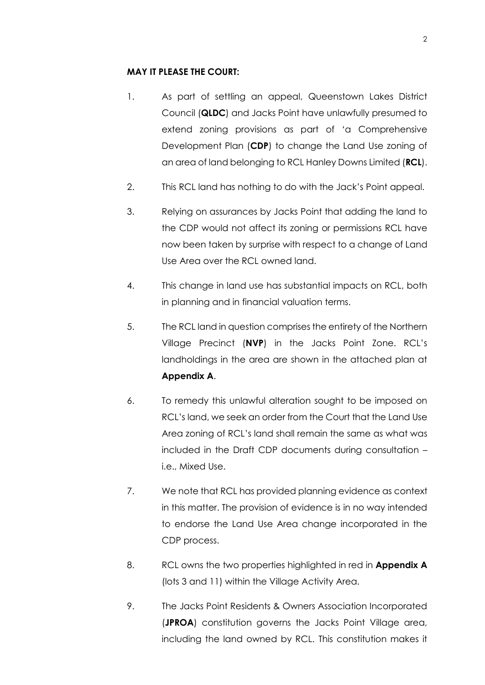#### **MAY IT PLEASE THE COURT:**

- 1. As part of settling an appeal, Queenstown Lakes District Council (**QLDC**) and Jacks Point have unlawfully presumed to extend zoning provisions as part of 'a Comprehensive Development Plan (**CDP**) to change the Land Use zoning of an area of land belonging to RCL Hanley Downs Limited (**RCL**).
- 2. This RCL land has nothing to do with the Jack's Point appeal.
- 3. Relying on assurances by Jacks Point that adding the land to the CDP would not affect its zoning or permissions RCL have now been taken by surprise with respect to a change of Land Use Area over the RCL owned land.
- 4. This change in land use has substantial impacts on RCL, both in planning and in financial valuation terms.
- 5. The RCL land in question comprises the entirety of the Northern Village Precinct (**NVP**) in the Jacks Point Zone. RCL's landholdings in the area are shown in the attached plan at **Appendix A**.
- 6. To remedy this unlawful alteration sought to be imposed on RCL's land, we seek an order from the Court that the Land Use Area zoning of RCL's land shall remain the same as what was included in the Draft CDP documents during consultation – i.e., Mixed Use.
- 7. We note that RCL has provided planning evidence as context in this matter. The provision of evidence is in no way intended to endorse the Land Use Area change incorporated in the CDP process.
- 8. RCL owns the two properties highlighted in red in **Appendix A** (lots 3 and 11) within the Village Activity Area.
- 9. The Jacks Point Residents & Owners Association Incorporated (**JPROA**) constitution governs the Jacks Point Village area, including the land owned by RCL. This constitution makes it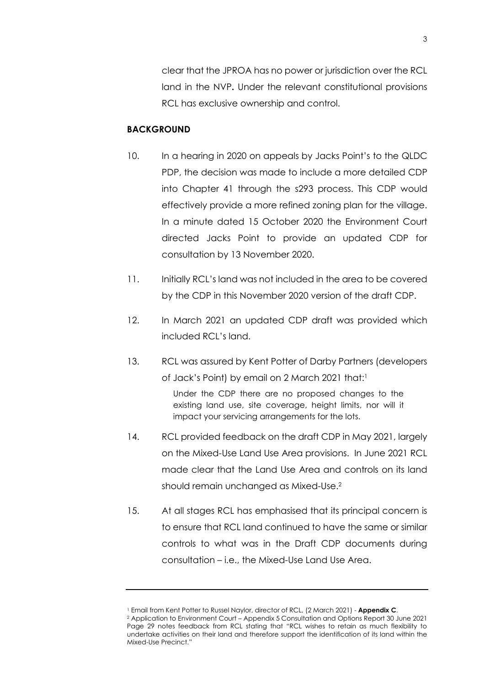clear that the JPROA has no power or jurisdiction over the RCL land in the NVP**.** Under the relevant constitutional provisions RCL has exclusive ownership and control.

#### **BACKGROUND**

- 10. In a hearing in 2020 on appeals by Jacks Point's to the QLDC PDP, the decision was made to include a more detailed CDP into Chapter 41 through the s293 process. This CDP would effectively provide a more refined zoning plan for the village. In a minute dated 15 October 2020 the Environment Court directed Jacks Point to provide an updated CDP for consultation by 13 November 2020.
- 11. Initially RCL's land was not included in the area to be covered by the CDP in this November 2020 version of the draft CDP.
- 12. In March 2021 an updated CDP draft was provided which included RCL's land.
- 13. RCL was assured by Kent Potter of Darby Partners (developers of Jack's Point) by email on 2 March 2021 that:1

Under the CDP there are no proposed changes to the existing land use, site coverage, height limits, nor will it impact your servicing arrangements for the lots.

- 14. RCL provided feedback on the draft CDP in May 2021, largely on the Mixed-Use Land Use Area provisions. In June 2021 RCL made clear that the Land Use Area and controls on its land should remain unchanged as Mixed-Use.<sup>2</sup>
- 15. At all stages RCL has emphasised that its principal concern is to ensure that RCL land continued to have the same or similar controls to what was in the Draft CDP documents during consultation – i.e., the Mixed-Use Land Use Area.

<sup>1</sup> Email from Kent Potter to Russel Naylor, director of RCL, (2 March 2021) - **Appendix C**.

<sup>2</sup> Application to Environment Court – Appendix 5 Consultation and Options Report 30 June 2021 Page 29 notes feedback from RCL stating that "RCL wishes to retain as much flexibility to undertake activities on their land and therefore support the identification of its land within the Mixed-Use Precinct."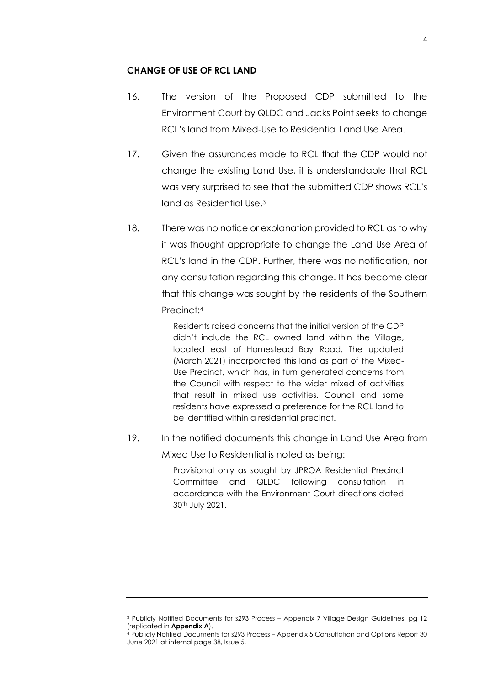# **CHANGE OF USE OF RCL LAND**

- 16. The version of the Proposed CDP submitted to the Environment Court by QLDC and Jacks Point seeks to change RCL's land from Mixed-Use to Residential Land Use Area.
- 17. Given the assurances made to RCL that the CDP would not change the existing Land Use, it is understandable that RCL was very surprised to see that the submitted CDP shows RCL's land as Residential Use.<sup>3</sup>
- 18. There was no notice or explanation provided to RCL as to why it was thought appropriate to change the Land Use Area of RCL's land in the CDP. Further, there was no notification, nor any consultation regarding this change. It has become clear that this change was sought by the residents of the Southern Precinct:<sup>4</sup>

Residents raised concerns that the initial version of the CDP didn't include the RCL owned land within the Village, located east of Homestead Bay Road. The updated (March 2021) incorporated this land as part of the Mixed-Use Precinct, which has, in turn generated concerns from the Council with respect to the wider mixed of activities that result in mixed use activities. Council and some residents have expressed a preference for the RCL land to be identified within a residential precinct.

19. In the notified documents this change in Land Use Area from

Mixed Use to Residential is noted as being:

Provisional only as sought by JPROA Residential Precinct Committee and QLDC following consultation in accordance with the Environment Court directions dated 30th July 2021.

<sup>3</sup> Publicly Notified Documents for s293 Process – Appendix 7 Village Design Guidelines, pg 12 (replicated in **Appendix A**).

<sup>4</sup> Publicly Notified Documents for s293 Process – Appendix 5 Consultation and Options Report 30 June 2021 at internal page 38, Issue 5.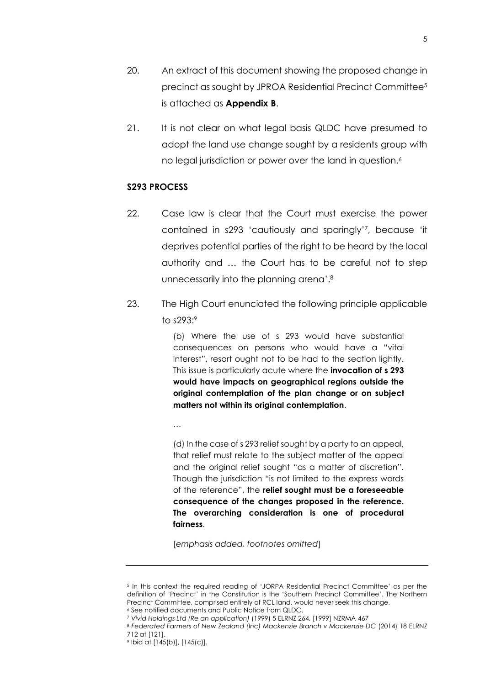- 20. An extract of this document showing the proposed change in precinct as sought by JPROA Residential Precinct Committee<sup>5</sup> is attached as **Appendix B**.
- 21. It is not clear on what legal basis QLDC have presumed to adopt the land use change sought by a residents group with no legal jurisdiction or power over the land in question. $\rlap{.}\smash{\raisebox{0.6ex}{\scriptsize{}}^6}$

#### **S293 PROCESS**

- 22. Case law is clear that the Court must exercise the power contained in s293 'cautiously and sparingly'<sup>7</sup> , because 'it deprives potential parties of the right to be heard by the local authority and … the Court has to be careful not to step unnecessarily into the planning arena'.<sup>8</sup>
- 23. The High Court enunciated the following principle applicable to s293: 9

(b) Where the use of s 293 would have substantial consequences on persons who would have a "vital interest", resort ought not to be had to the section lightly. This issue is particularly acute where the **invocation of s 293 would have impacts on geographical regions outside the original contemplation of the plan change or on subject matters not within its original contemplation**.

…

(d) In the case of s 293 relief sought by a party to an appeal, that relief must relate to the subject matter of the appeal and the original relief sought "as a matter of discretion". Though the jurisdiction "is not limited to the express words of the reference", the **relief sought must be a foreseeable consequence of the changes proposed in the reference. The overarching consideration is one of procedural fairness**.

[*emphasis added, footnotes omitted*]

<sup>5</sup> In this context the required reading of 'JORPA Residential Precinct Committee' as per the definition of 'Precinct' in the Constitution is the 'Southern Precinct Committee'. The Northern Precinct Committee, comprised entirely of RCL land, would never seek this change.

<sup>6</sup> See notified documents and Public Notice from QLDC.

<sup>7</sup> *Vivid Holdings Ltd (Re an application)* (1999) 5 ELRNZ 264, [1999] NZRMA 467

<sup>8</sup> *Federated Farmers of New Zealand (Inc) Mackenzie Branch v Mackenzie DC* (2014) 18 ELRNZ 712 at [121].

<sup>9</sup> Ibid at [145(b)], [145(c)].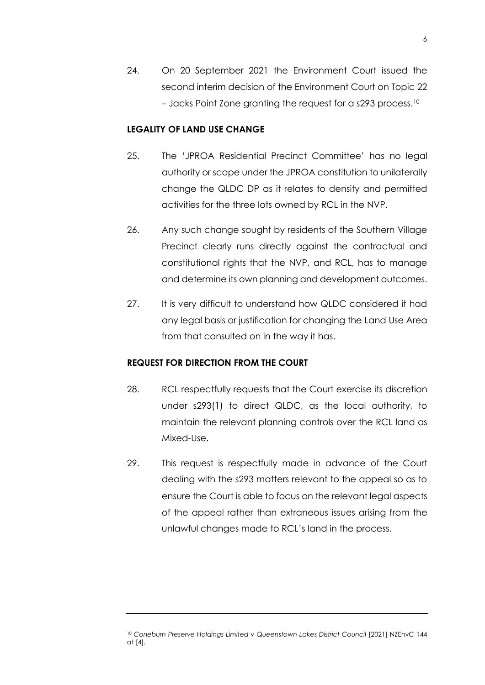24. On 20 September 2021 the Environment Court issued the second interim decision of the Environment Court on Topic 22 – Jacks Point Zone granting the request for a s293 process. 10

# **LEGALITY OF LAND USE CHANGE**

- 25. The 'JPROA Residential Precinct Committee' has no legal authority or scope under the JPROA constitution to unilaterally change the QLDC DP as it relates to density and permitted activities for the three lots owned by RCL in the NVP.
- 26. Any such change sought by residents of the Southern Village Precinct clearly runs directly against the contractual and constitutional rights that the NVP, and RCL, has to manage and determine its own planning and development outcomes.
- 27. It is very difficult to understand how QLDC considered it had any legal basis or justification for changing the Land Use Area from that consulted on in the way it has.

#### **REQUEST FOR DIRECTION FROM THE COURT**

- 28. RCL respectfully requests that the Court exercise its discretion under s293(1) to direct QLDC, as the local authority, to maintain the relevant planning controls over the RCL land as Mixed-Use.
- 29. This request is respectfully made in advance of the Court dealing with the s293 matters relevant to the appeal so as to ensure the Court is able to focus on the relevant legal aspects of the appeal rather than extraneous issues arising from the unlawful changes made to RCL's land in the process.

<sup>&</sup>lt;sup>10</sup> Coneburn Preserve Holdings Limited v Queenstown Lakes District Council [2021] NZEnvC 144 at [4].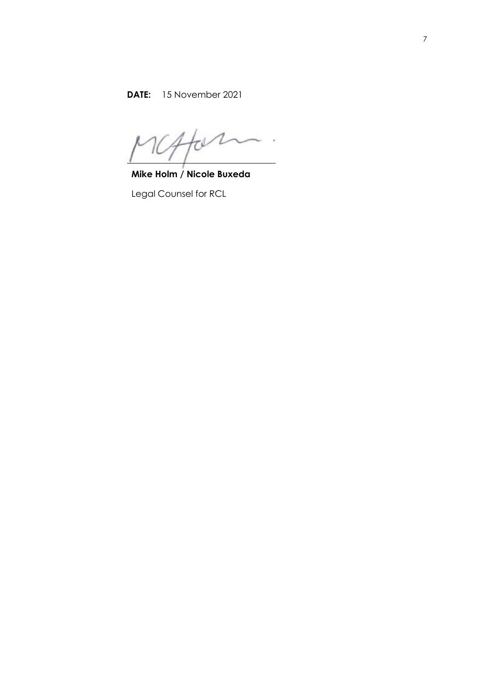$\overline{1}$ 

**Mike Holm / Nicole Buxeda**

Legal Counsel for RCL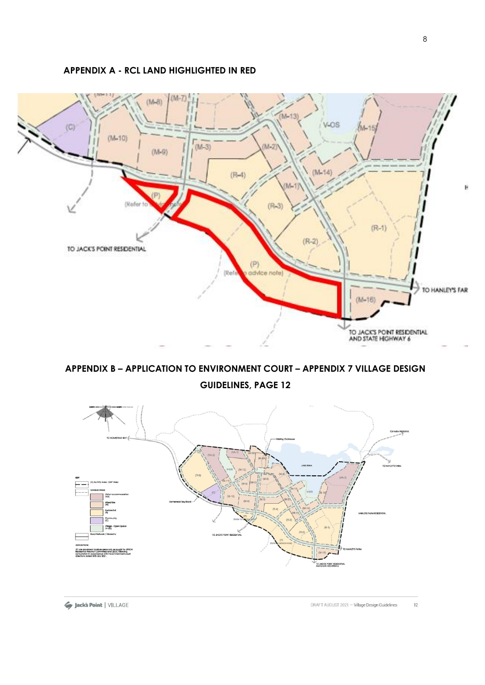**APPENDIX A - RCL LAND HIGHLIGHTED IN RED**



**APPENDIX B – APPLICATION TO ENVIRONMENT COURT – APPENDIX 7 VILLAGE DESIGN GUIDELINES, PAGE 12** 

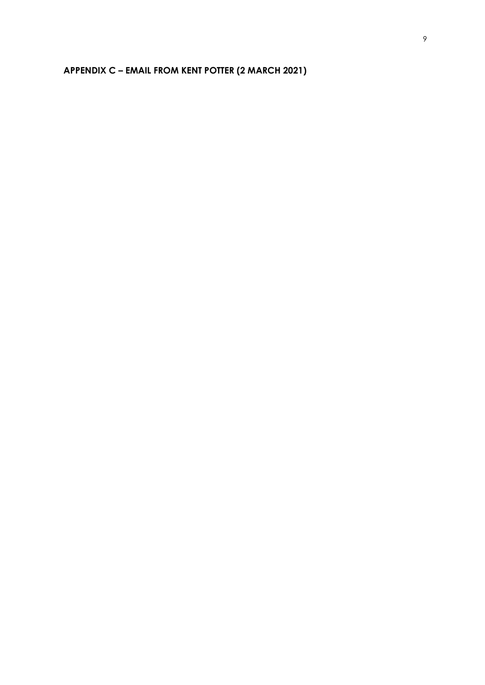# **APPENDIX C – EMAIL FROM KENT POTTER (2 MARCH 2021)**